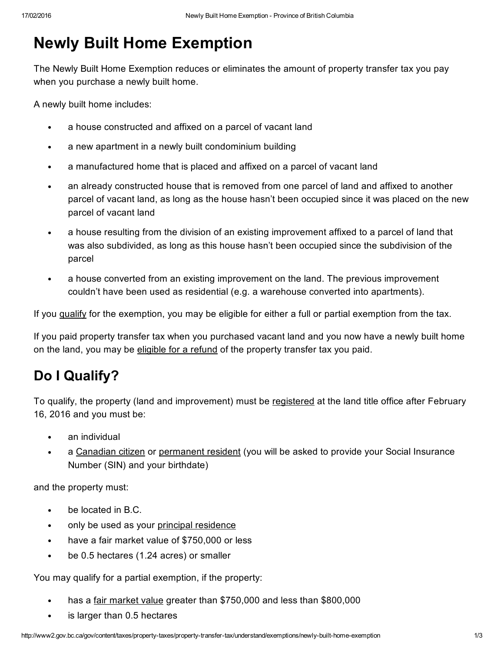# Newly Built Home Exemption

The Newly Built Home Exemption reduces or eliminates the amount of property transfer tax you pay when you purchase a newly built home.

<span id="page-0-1"></span>A newly built home includes:

- a house constructed and affixed on a parcel of vacant land  $\bullet$
- a new apartment in a newly built condominium building  $\bullet$
- $\bullet$ a manufactured home that is placed and affixed on a parcel of vacant land
- an already constructed house that is removed from one parcel of land and affixed to another  $\bullet$ parcel of vacant land, as long as the house hasn't been occupied since it was placed on the new parcel of vacant land
- a house resulting from the division of an existing improvement affixed to a parcel of land that was also subdivided, as long as this house hasn't been occupied since the subdivision of the parcel
- a house converted from an existing improvement on the land. The previous improvement couldn't have been used as residential (e.g. a warehouse converted into apartments).

If you [qualify](#page-0-0) for the exemption, you may be eligible for either a full or partial exemption from the tax.

If you paid property transfer tax when you purchased vacant land and you now have a newly built home on the land, you may be [eligible](#page-1-0) for a refund of the property transfer tax you paid.

### <span id="page-0-0"></span>Do I Qualify?

To qualify, the property (land and improvement) must be [registered](http://www2.gov.bc.ca/gov/content/taxes/property-taxes/property-transfer-tax/file) at the land title office after February 16, 2016 and you must be:

- an individual
- $\bullet$ a [Canadian](http://www2.gov.bc.ca/gov/content/taxes/property-taxes/help-centre/glossary#canadian-citizen) citizen or [permanent](http://www2.gov.bc.ca/gov/content/taxes/property-taxes/help-centre/glossary#permanent-resident) resident (you will be asked to provide your Social Insurance Number (SIN) and your birthdate)

and the property must:

- be located in B.C.  $\bullet$
- only be used as your principal [residence](http://www2.gov.bc.ca/gov/content/taxes/property-taxes/help-centre/glossary#principal-residence)  $\bullet$
- have a fair market value of \$750,000 or less  $\bullet$
- be 0.5 hectares (1.24 acres) or smaller  $\bullet$

You may qualify for a partial exemption, if the property:

- has a fair [market](http://www2.gov.bc.ca/gov/content/taxes/property-taxes/property-transfer-tax/understand#FairMarket) value greater than \$750,000 and less than \$800,000  $\bullet$
- is larger than 0.5 hectares $\bullet$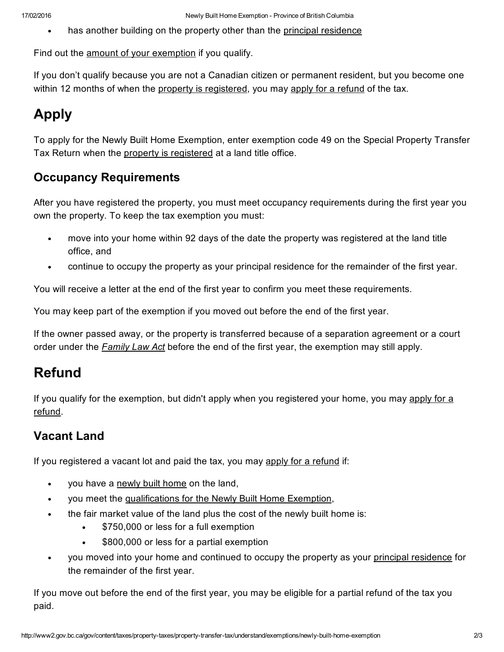has another building on the property other than the principal [residence](http://www2.gov.bc.ca/gov/content/taxes/property-taxes/help-centre/glossary#principal-residence)

Find out the amount of your [exemption](http://www2.gov.bc.ca/gov/content/taxes/property-taxes/property-transfer-tax/understand/exemptions/newly-built-home-exemption/exemption-amounts) if you qualify.

If you don't qualify because you are not a Canadian citizen or permanent resident, but you become one within 12 months of when the property is [registered](http://www2.gov.bc.ca/gov/content/taxes/property-taxes/property-transfer-tax/file), you may apply for a [refund](#page-2-0) of the tax.

## Apply

To apply for the Newly Built Home Exemption, enter exemption code 49 on the Special Property Transfer Tax Return when the property is [registered](http://www2.gov.bc.ca/gov/content/taxes/property-taxes/property-transfer-tax/file) at a land title office.

### Occupancy Requirements

After you have registered the property, you must meet occupancy requirements during the first year you own the property. To keep the tax exemption you must:

- move into your home within 92 days of the date the property was registered at the land title office, and
- continue to occupy the property as your principal residence for the remainder of the first year.

You will receive a letter at the end of the first year to confirm you meet these requirements.

You may keep part of the exemption if you moved out before the end of the first year.

If the owner passed away, or the property is transferred because of a separation agreement or a court order under the *[Family](http://www.bclaws.ca/EPLibraries/bclaws_new/document/ID/freeside/00_11025_01) Law Act* before the end of the first year, the exemption may still apply.

### Refund

If you qualify for the [exemption,](#page-2-0) but didn't apply when you registered your home, you may apply for a refund.

### <span id="page-1-0"></span>Vacant Land

If you registered a vacant lot and paid the tax, you may apply for a [refund](#page-2-0) if:

- $\bullet$ you have a [newly](#page-0-1) built home on the land,
- you meet the [qualifications](#page-0-0) for the Newly Built Home Exemption,  $\bullet$
- the fair market value of the land plus the cost of the newly built home is:
	- $\bullet$ \$750,000 or less for a full exemption
	- \$800,000 or less for a partial exemption
- you moved into your home and continued to occupy the property as your principal [residence](http://www2.gov.bc.ca/gov/content/taxes/property-taxes/help-centre/glossary#principal-residence) for the remainder of the first year.

If you move out before the end of the first year, you may be eligible for a partial refund of the tax you paid.